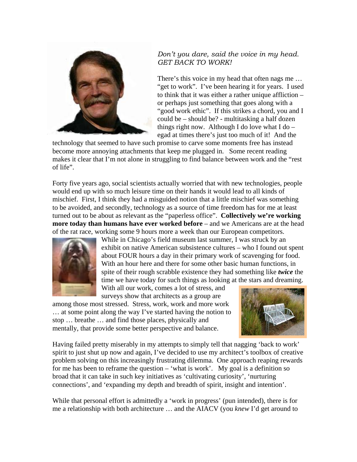

## *Don't you dare, said the voice in my head. GET BACK TO WORK!*

There's this voice in my head that often nags me … "get to work". I've been hearing it for years. I used to think that it was either a rather unique affliction – or perhaps just something that goes along with a "good work ethic". If this strikes a chord, you and I could be – should be? - multitasking a half dozen things right now. Although I do love what  $I$  do  $$ egad at times there's just too much of it! And the

technology that seemed to have such promise to carve some moments free has instead become more annoying attachments that keep me plugged in. Some recent reading makes it clear that I'm not alone in struggling to find balance between work and the "rest of life".

Forty five years ago, social scientists actually worried that with new technologies, people would end up with so much leisure time on their hands it would lead to all kinds of mischief. First, I think they had a misguided notion that a little mischief was something to be avoided, and secondly, technology as a source of time freedom has for me at least turned out to be about as relevant as the "paperless office". **Collectively we're working more today than humans have ever worked before** – and we Americans are at the head of the rat race, working some 9 hours more a week than our European competitors.



While in Chicago's field museum last summer, I was struck by an exhibit on native American subsistence cultures – who I found out spent about FOUR hours a day in their primary work of scavenging for food. With an hour here and there for some other basic human functions, in spite of their rough scrabble existence they had something like *twice* the time we have today for such things as looking at the stars and dreaming. With all our work, comes a lot of stress, and

surveys show that architects as a group are

among those most stressed. Stress, work, work and more work … at some point along the way I've started having the notion to stop … breathe … and find those places, physically and mentally, that provide some better perspective and balance.



Having failed pretty miserably in my attempts to simply tell that nagging 'back to work' spirit to just shut up now and again, I've decided to use my architect's toolbox of creative problem solving on this increasingly frustrating dilemma. One approach reaping rewards for me has been to reframe the question – 'what is work'. My goal is a definition so broad that it can take in such key initiatives as 'cultivating curiosity', 'nurturing connections', and 'expanding my depth and breadth of spirit, insight and intention'.

While that personal effort is admittedly a 'work in progress' (pun intended), there is for me a relationship with both architecture … and the AIACV (you *knew* I'd get around to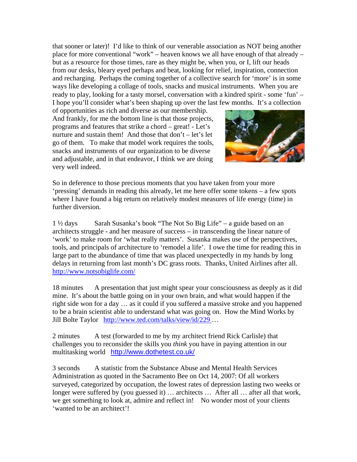that sooner or later)! I'd like to think of our venerable association as NOT being another place for more conventional "work" – heaven knows we all have enough of that already – but as a resource for those times, rare as they might be, when you, or I, lift our heads from our desks, bleary eyed perhaps and beat, looking for relief, inspiration, connection and recharging. Perhaps the coming together of a collective search for 'more' is in some ways like developing a collage of tools, snacks and musical instruments. When you are ready to play, looking for a tasty morsel, conversation with a kindred spirit - some 'fun' – I hope you'll consider what's been shaping up over the last few months. It's a collection

of opportunities as rich and diverse as our membership. And frankly, for me the bottom line is that those projects, programs and features that strike a chord – great! - Let's nurture and sustain them! And those that don't – let's let go of them. To make that model work requires the tools, snacks and instruments of our organization to be diverse and adjustable, and in that endeavor, I think we are doing very well indeed.



So in deference to those precious moments that you have taken from your more 'pressing' demands in reading this already, let me here offer some tokens – a few spots where I have found a big return on relatively modest measures of life energy (time) in further diversion.

1 ½ days Sarah Susanka's book "The Not So Big Life" – a guide based on an architects struggle - and her measure of success – in transcending the linear nature of 'work' to make room for 'what really matters'. Susanka makes use of the perspectives, tools, and principals of architecture to 'remodel a life'. I owe the time for reading this in large part to the abundance of time that was placed unexpectedly in my hands by long delays in returning from last month's DC grass roots. Thanks, United Airlines after all. <http://www.notsobiglife.com/>

18 minutes A presentation that just might spear your consciousness as deeply as it did mine. It's about the battle going on in your own brain, and what would happen if the right side won for a day … as it could if you suffered a massive stroke and you happened to be a brain scientist able to understand what was going on. How the Mind Works by Jill Bolte Taylor <http://www.ted.com/talks/view/id/229>…

2 minutes A test (forwarded to me by my architect friend Rick Carlisle) that challenges you to reconsider the skills you *think* you have in paying attention in our multitasking world <http://www.dothetest.co.uk/>

3 seconds A statistic from the Substance Abuse and Mental Health Services Administration as quoted in the Sacramento Bee on Oct 14, 2007: Of all workers surveyed, categorized by occupation, the lowest rates of depression lasting two weeks or longer were suffered by (you guessed it) ... architects ... After all ... after all that work, we get something to look at, admire and reflect in! No wonder most of your clients 'wanted to be an architect'!